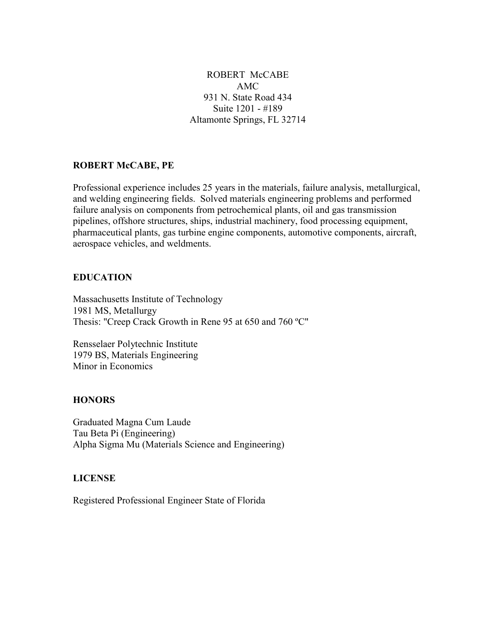ROBERT McCABE AMC 931 N. State Road 434 Suite 1201 - #189 Altamonte Springs, FL 32714

### ROBERT McCABE, PE

Professional experience includes 25 years in the materials, failure analysis, metallurgical, and welding engineering fields. Solved materials engineering problems and performed failure analysis on components from petrochemical plants, oil and gas transmission pipelines, offshore structures, ships, industrial machinery, food processing equipment, pharmaceutical plants, gas turbine engine components, automotive components, aircraft, aerospace vehicles, and weldments.

#### EDUCATION

Massachusetts Institute of Technology 1981 MS, Metallurgy Thesis: "Creep Crack Growth in Rene 95 at 650 and 760 ºC"

Rensselaer Polytechnic Institute 1979 BS, Materials Engineering Minor in Economics

# **HONORS**

Graduated Magna Cum Laude Tau Beta Pi (Engineering) Alpha Sigma Mu (Materials Science and Engineering)

### LICENSE

Registered Professional Engineer State of Florida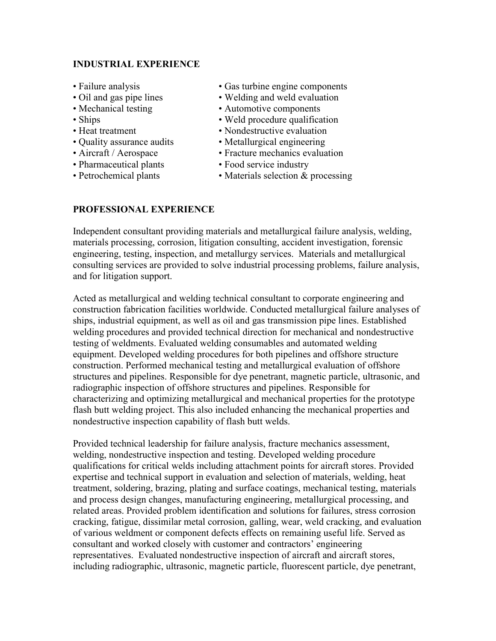### INDUSTRIAL EXPERIENCE

- 
- 
- 
- 
- 
- 
- 
- Pharmaceutical plants Food service industry
- 
- Failure analysis Gas turbine engine components
- Oil and gas pipe lines Welding and weld evaluation
- Mechanical testing Automotive components
- Ships Weld procedure qualification
- Heat treatment Nondestructive evaluation
- Quality assurance audits Metallurgical engineering
- Aircraft / Aerospace Fracture mechanics evaluation
	-
- Petrochemical plants Materials selection & processing

# PROFESSIONAL EXPERIENCE

Independent consultant providing materials and metallurgical failure analysis, welding, materials processing, corrosion, litigation consulting, accident investigation, forensic engineering, testing, inspection, and metallurgy services. Materials and metallurgical consulting services are provided to solve industrial processing problems, failure analysis, and for litigation support.

Acted as metallurgical and welding technical consultant to corporate engineering and construction fabrication facilities worldwide. Conducted metallurgical failure analyses of ships, industrial equipment, as well as oil and gas transmission pipe lines. Established welding procedures and provided technical direction for mechanical and nondestructive testing of weldments. Evaluated welding consumables and automated welding equipment. Developed welding procedures for both pipelines and offshore structure construction. Performed mechanical testing and metallurgical evaluation of offshore structures and pipelines. Responsible for dye penetrant, magnetic particle, ultrasonic, and radiographic inspection of offshore structures and pipelines. Responsible for characterizing and optimizing metallurgical and mechanical properties for the prototype flash butt welding project. This also included enhancing the mechanical properties and nondestructive inspection capability of flash butt welds.

Provided technical leadership for failure analysis, fracture mechanics assessment, welding, nondestructive inspection and testing. Developed welding procedure qualifications for critical welds including attachment points for aircraft stores. Provided expertise and technical support in evaluation and selection of materials, welding, heat treatment, soldering, brazing, plating and surface coatings, mechanical testing, materials and process design changes, manufacturing engineering, metallurgical processing, and related areas. Provided problem identification and solutions for failures, stress corrosion cracking, fatigue, dissimilar metal corrosion, galling, wear, weld cracking, and evaluation of various weldment or component defects effects on remaining useful life. Served as consultant and worked closely with customer and contractors' engineering representatives. Evaluated nondestructive inspection of aircraft and aircraft stores, including radiographic, ultrasonic, magnetic particle, fluorescent particle, dye penetrant,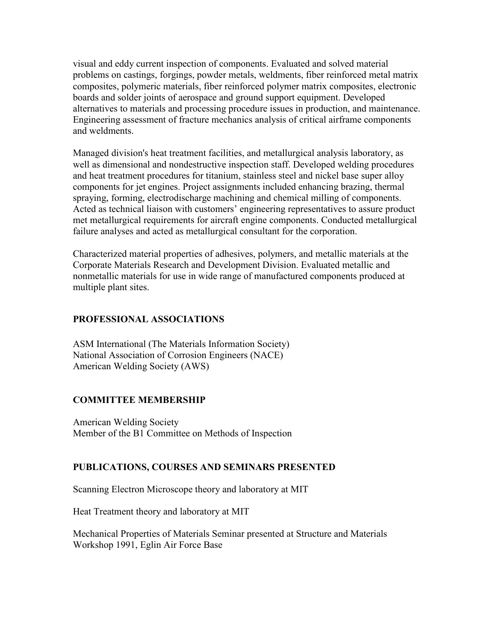visual and eddy current inspection of components. Evaluated and solved material problems on castings, forgings, powder metals, weldments, fiber reinforced metal matrix composites, polymeric materials, fiber reinforced polymer matrix composites, electronic boards and solder joints of aerospace and ground support equipment. Developed alternatives to materials and processing procedure issues in production, and maintenance. Engineering assessment of fracture mechanics analysis of critical airframe components and weldments.

Managed division's heat treatment facilities, and metallurgical analysis laboratory, as well as dimensional and nondestructive inspection staff. Developed welding procedures and heat treatment procedures for titanium, stainless steel and nickel base super alloy components for jet engines. Project assignments included enhancing brazing, thermal spraying, forming, electrodischarge machining and chemical milling of components. Acted as technical liaison with customers' engineering representatives to assure product met metallurgical requirements for aircraft engine components. Conducted metallurgical failure analyses and acted as metallurgical consultant for the corporation.

Characterized material properties of adhesives, polymers, and metallic materials at the Corporate Materials Research and Development Division. Evaluated metallic and nonmetallic materials for use in wide range of manufactured components produced at multiple plant sites.

### PROFESSIONAL ASSOCIATIONS

ASM International (The Materials Information Society) National Association of Corrosion Engineers (NACE) American Welding Society (AWS)

# COMMITTEE MEMBERSHIP

American Welding Society Member of the B1 Committee on Methods of Inspection

#### PUBLICATIONS, COURSES AND SEMINARS PRESENTED

Scanning Electron Microscope theory and laboratory at MIT

Heat Treatment theory and laboratory at MIT

Mechanical Properties of Materials Seminar presented at Structure and Materials Workshop 1991, Eglin Air Force Base